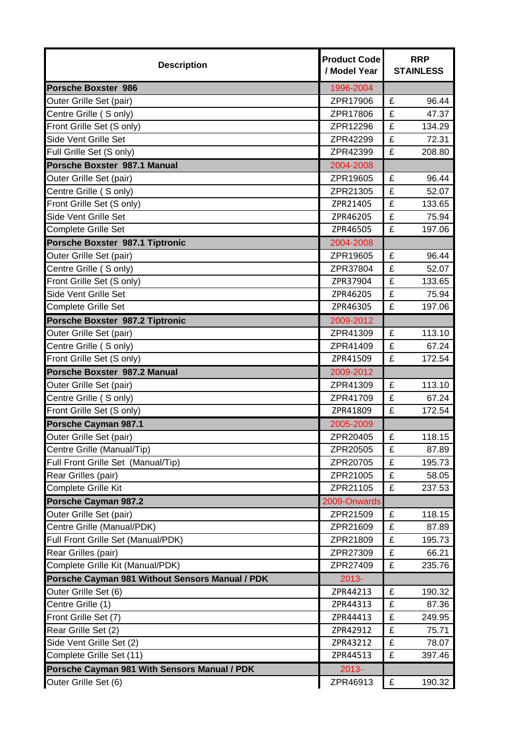| <b>Description</b>                              | <b>Product Code</b><br>/ Model Year | <b>RRP</b><br><b>STAINLESS</b> |  |
|-------------------------------------------------|-------------------------------------|--------------------------------|--|
| <b>Porsche Boxster 986</b>                      | 1996-2004                           |                                |  |
| Outer Grille Set (pair)                         | ZPR17906                            | £<br>96.44                     |  |
| Centre Grille (S only)                          | ZPR17806                            | £<br>47.37                     |  |
| Front Grille Set (S only)                       | ZPR12296                            | £<br>134.29                    |  |
| Side Vent Grille Set                            | ZPR42299                            | £<br>72.31                     |  |
| Full Grille Set (S only)                        | ZPR42399                            | £<br>208.80                    |  |
| Porsche Boxster 987.1 Manual                    | 2004-2008                           |                                |  |
| Outer Grille Set (pair)                         | ZPR19605                            | £<br>96.44                     |  |
| Centre Grille (S only)                          | ZPR21305                            | £<br>52.07                     |  |
| Front Grille Set (S only)                       | ZPR21405                            | £<br>133.65                    |  |
| Side Vent Grille Set                            | ZPR46205                            | £<br>75.94                     |  |
| Complete Grille Set                             | ZPR46505                            | £<br>197.06                    |  |
| Porsche Boxster 987.1 Tiptronic                 | 2004-2008                           |                                |  |
| Outer Grille Set (pair)                         | ZPR19605                            | £<br>96.44                     |  |
| Centre Grille (S only)                          | ZPR37804                            | £<br>52.07                     |  |
| Front Grille Set (S only)                       | ZPR37904                            | £<br>133.65                    |  |
| Side Vent Grille Set                            | ZPR46205                            | £<br>75.94                     |  |
| <b>Complete Grille Set</b>                      | ZPR46305                            | £<br>197.06                    |  |
| Porsche Boxster 987.2 Tiptronic                 | 2009-2012                           |                                |  |
| Outer Grille Set (pair)                         | ZPR41309                            | £<br>113.10                    |  |
| Centre Grille (S only)                          | ZPR41409                            | £<br>67.24                     |  |
| Front Grille Set (S only)                       | ZPR41509                            | £<br>172.54                    |  |
| Porsche Boxster 987.2 Manual                    | 2009-2012                           |                                |  |
| Outer Grille Set (pair)                         | ZPR41309                            | £<br>113.10                    |  |
| Centre Grille (S only)                          | ZPR41709                            | £<br>67.24                     |  |
| Front Grille Set (S only)                       | ZPR41809                            | £<br>172.54                    |  |
| <b>Porsche Cayman 987.1</b>                     | 2005-2009                           |                                |  |
| Outer Grille Set (pair)                         | ZPR20405                            | £<br>118.15                    |  |
| Centre Grille (Manual/Tip)                      | ZPR20505                            | 87.89<br>£                     |  |
| Full Front Grille Set (Manual/Tip)              | ZPR20705                            | £<br>195.73                    |  |
| Rear Grilles (pair)                             | ZPR21005                            | £<br>58.05                     |  |
| <b>Complete Grille Kit</b>                      | ZPR21105                            | £<br>237.53                    |  |
| Porsche Cayman 987.2                            | 2009-Onwards                        |                                |  |
| Outer Grille Set (pair)                         | ZPR21509                            | £<br>118.15                    |  |
| Centre Grille (Manual/PDK)                      | ZPR21609                            | £<br>87.89                     |  |
| Full Front Grille Set (Manual/PDK)              | ZPR21809                            | £<br>195.73                    |  |
| Rear Grilles (pair)                             | ZPR27309                            | £<br>66.21                     |  |
| Complete Grille Kit (Manual/PDK)                | ZPR27409                            | £<br>235.76                    |  |
| Porsche Cayman 981 Without Sensors Manual / PDK | $2013 -$                            |                                |  |
| Outer Grille Set (6)                            | ZPR44213                            | £<br>190.32                    |  |
| Centre Grille (1)                               | ZPR44313                            | £<br>87.36                     |  |
| Front Grille Set (7)                            | ZPR44413                            | £<br>249.95                    |  |
| Rear Grille Set (2)                             | ZPR42912                            | £<br>75.71                     |  |
| Side Vent Grille Set (2)                        | ZPR43212                            | £<br>78.07                     |  |
| Complete Grille Set (11)                        | ZPR44513                            | £<br>397.46                    |  |
| Porsche Cayman 981 With Sensors Manual / PDK    | $2013 -$                            |                                |  |
| Outer Grille Set (6)                            | ZPR46913                            | £<br>190.32                    |  |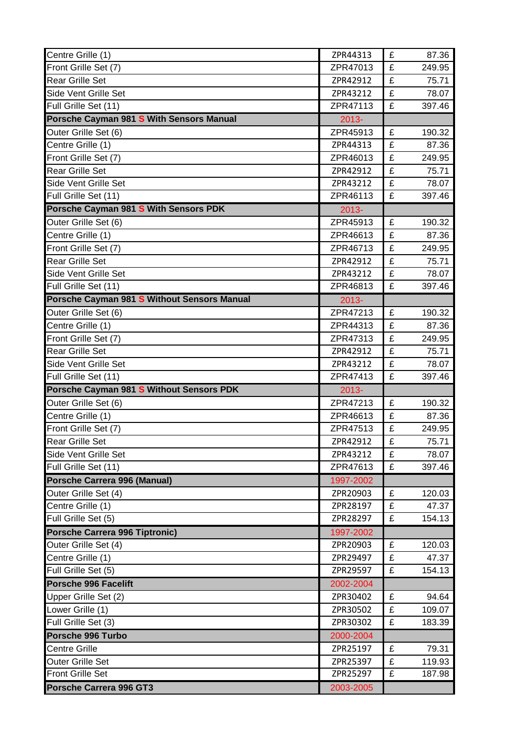| Centre Grille (1)                                  | ZPR44313              | £ | 87.36  |
|----------------------------------------------------|-----------------------|---|--------|
| Front Grille Set (7)                               | ZPR47013              | £ | 249.95 |
| <b>Rear Grille Set</b>                             | ZPR42912              | £ | 75.71  |
| Side Vent Grille Set                               | ZPR43212              | £ | 78.07  |
| Full Grille Set (11)                               | ZPR47113              | £ | 397.46 |
| Porsche Cayman 981 S With Sensors Manual           | $2013 -$              |   |        |
| Outer Grille Set (6)                               | ZPR45913              | £ | 190.32 |
| Centre Grille (1)                                  | ZPR44313              | £ | 87.36  |
| Front Grille Set (7)                               | ZPR46013              | £ | 249.95 |
| <b>Rear Grille Set</b>                             | ZPR42912              | £ | 75.71  |
| Side Vent Grille Set                               | ZPR43212              | £ | 78.07  |
| Full Grille Set (11)                               | ZPR46113              | £ | 397.46 |
| Porsche Cayman 981 S With Sensors PDK              | 2013-                 |   |        |
| Outer Grille Set (6)                               | ZPR45913              | £ | 190.32 |
| Centre Grille (1)                                  | ZPR46613              | £ | 87.36  |
| Front Grille Set (7)                               | ZPR46713              | £ | 249.95 |
| <b>Rear Grille Set</b>                             | ZPR42912              | £ | 75.71  |
| Side Vent Grille Set                               | ZPR43212              | £ | 78.07  |
| Full Grille Set (11)                               | ZPR46813              | £ | 397.46 |
| Porsche Cayman 981 S Without Sensors Manual        | $2013 -$              |   |        |
| Outer Grille Set (6)                               | ZPR47213              | £ | 190.32 |
| Centre Grille (1)                                  | ZPR44313              | £ | 87.36  |
| Front Grille Set (7)                               | ZPR47313              | £ | 249.95 |
| <b>Rear Grille Set</b>                             | ZPR42912              | £ | 75.71  |
| Side Vent Grille Set                               | ZPR43212              | £ | 78.07  |
|                                                    |                       |   |        |
| Full Grille Set (11)                               | ZPR47413              | £ | 397.46 |
| Porsche Cayman 981 S Without Sensors PDK           | 2013-                 |   |        |
| Outer Grille Set (6)                               | ZPR47213              | £ | 190.32 |
| Centre Grille (1)                                  | ZPR46613              | £ | 87.36  |
| Front Grille Set (7)                               | ZPR47513              | £ | 249.95 |
| <b>Rear Grille Set</b>                             | ZPR42912              | £ | 75.71  |
| Side Vent Grille Set                               | ZPR43212              | £ | 78.07  |
| Full Grille Set (11)                               | ZPR47613              | £ | 397.46 |
| Porsche Carrera 996 (Manual)                       | 1997-2002             |   |        |
| Outer Grille Set (4)                               | ZPR20903              | £ | 120.03 |
| Centre Grille (1)                                  | ZPR28197              | £ | 47.37  |
| Full Grille Set (5)                                | ZPR28297              | £ | 154.13 |
| Porsche Carrera 996 Tiptronic)                     | 1997-2002             |   |        |
| Outer Grille Set (4)                               | ZPR20903              | £ | 120.03 |
| Centre Grille (1)                                  | ZPR29497              | £ | 47.37  |
| Full Grille Set (5)                                | ZPR29597              | £ | 154.13 |
| Porsche 996 Facelift                               | 2002-2004             |   |        |
| Upper Grille Set (2)                               | ZPR30402              | £ | 94.64  |
| Lower Grille (1)                                   | ZPR30502              | £ | 109.07 |
| Full Grille Set (3)                                | ZPR30302              | £ | 183.39 |
| Porsche 996 Turbo                                  | 2000-2004             |   |        |
| <b>Centre Grille</b>                               | ZPR25197              | £ | 79.31  |
| <b>Outer Grille Set</b>                            | ZPR25397              | £ | 119.93 |
| <b>Front Grille Set</b><br>Porsche Carrera 996 GT3 | ZPR25297<br>2003-2005 | £ | 187.98 |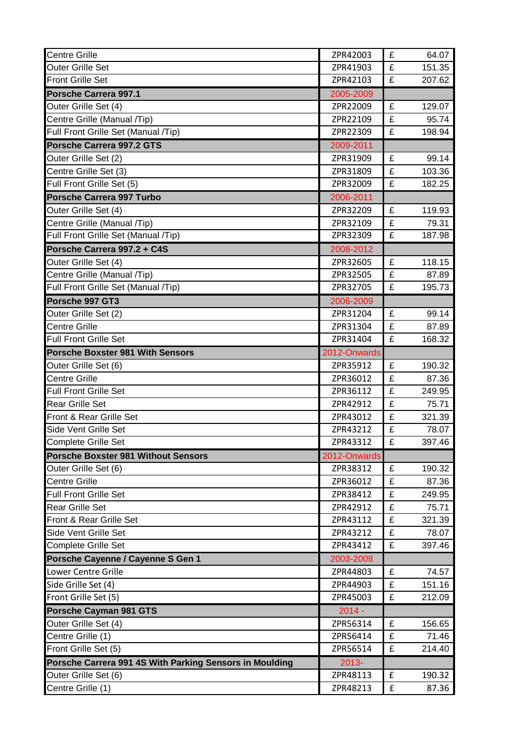| <b>Centre Grille</b>                                    | ZPR42003     | £           | 64.07  |  |
|---------------------------------------------------------|--------------|-------------|--------|--|
| <b>Outer Grille Set</b>                                 | ZPR41903     | £<br>151.35 |        |  |
| <b>Front Grille Set</b>                                 | ZPR42103     | £           | 207.62 |  |
| Porsche Carrera 997.1                                   | 2005-2009    |             |        |  |
| Outer Grille Set (4)                                    | ZPR22009     | £           | 129.07 |  |
| Centre Grille (Manual /Tip)                             | ZPR22109     | £           | 95.74  |  |
| Full Front Grille Set (Manual /Tip)                     | ZPR22309     | £           | 198.94 |  |
| Porsche Carrera 997.2 GTS                               | 2009-2011    |             |        |  |
| Outer Grille Set (2)                                    | ZPR31909     | £           | 99.14  |  |
| Centre Grille Set (3)                                   | ZPR31809     | £           | 103.36 |  |
| Full Front Grille Set (5)                               | ZPR32009     | £           | 182.25 |  |
| Porsche Carrera 997 Turbo                               | 2006-2011    |             |        |  |
| Outer Grille Set (4)                                    | ZPR32209     | £           | 119.93 |  |
| Centre Grille (Manual /Tip)                             | ZPR32109     | £           | 79.31  |  |
| Full Front Grille Set (Manual /Tip)                     | ZPR32309     | £           | 187.98 |  |
| Porsche Carrera 997.2 + C4S                             | 2008-2012    |             |        |  |
| Outer Grille Set (4)                                    | ZPR32605     | £           | 118.15 |  |
| Centre Grille (Manual /Tip)                             | ZPR32505     | £           | 87.89  |  |
| Full Front Grille Set (Manual /Tip)                     | ZPR32705     | £           | 195.73 |  |
| Porsche 997 GT3                                         | 2006-2009    |             |        |  |
| Outer Grille Set (2)                                    | ZPR31204     | £           | 99.14  |  |
| <b>Centre Grille</b>                                    | ZPR31304     | £           | 87.89  |  |
| <b>Full Front Grille Set</b>                            | ZPR31404     | £           | 168.32 |  |
| <b>Porsche Boxster 981 With Sensors</b>                 | 2012-Onwards |             |        |  |
| Outer Grille Set (6)                                    | ZPR35912     | £           | 190.32 |  |
| <b>Centre Grille</b>                                    | ZPR36012     | £           | 87.36  |  |
| <b>Full Front Grille Set</b>                            | ZPR36112     | £           | 249.95 |  |
| <b>Rear Grille Set</b>                                  | ZPR42912     | £           | 75.71  |  |
| Front & Rear Grille Set                                 | ZPR43012     | £           | 321.39 |  |
| Side Vent Grille Set                                    | ZPR43212     | £           | 78.07  |  |
| <b>Complete Grille Set</b>                              | ZPR43312     | £           | 397.46 |  |
| Porsche Boxster 981 Without Sensors                     | 2012-Onwards |             |        |  |
| Outer Grille Set (6)                                    | ZPR38312     | £           | 190.32 |  |
| <b>Centre Grille</b>                                    | ZPR36012     | £           | 87.36  |  |
| <b>Full Front Grille Set</b>                            | ZPR38412     | £           | 249.95 |  |
| <b>Rear Grille Set</b>                                  | ZPR42912     | £           | 75.71  |  |
| Front & Rear Grille Set                                 | ZPR43112     | £           | 321.39 |  |
| Side Vent Grille Set                                    | ZPR43212     | £           | 78.07  |  |
| <b>Complete Grille Set</b>                              | ZPR43412     | £           | 397.46 |  |
| Porsche Cayenne / Cayenne S Gen 1                       | 2003-2008    |             |        |  |
| Lower Centre Grille                                     | ZPR44803     | £           | 74.57  |  |
| Side Grille Set (4)                                     | ZPR44903     | £           | 151.16 |  |
| Front Grille Set (5)                                    | ZPR45003     | £           | 212.09 |  |
| Porsche Cayman 981 GTS                                  | $2014 -$     |             |        |  |
| Outer Grille Set (4)                                    | ZPR56314     | £           | 156.65 |  |
| Centre Grille (1)                                       | ZPR56414     | £           | 71.46  |  |
| Front Grille Set (5)                                    | ZPR56514     | £           | 214.40 |  |
| Porsche Carrera 991 4S With Parking Sensors in Moulding | 2013-        |             |        |  |
| Outer Grille Set (6)                                    | ZPR48113     | £           | 190.32 |  |
| Centre Grille (1)                                       | ZPR48213     | £           | 87.36  |  |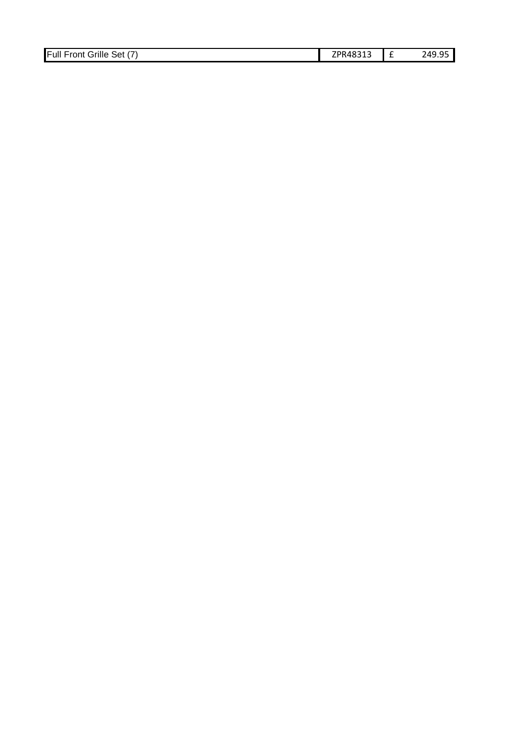| Full F<br>Grille<br>$\sim$<br>Set<br>Front | ZPR48313 | 249.<br>TJ.JJ |
|--------------------------------------------|----------|---------------|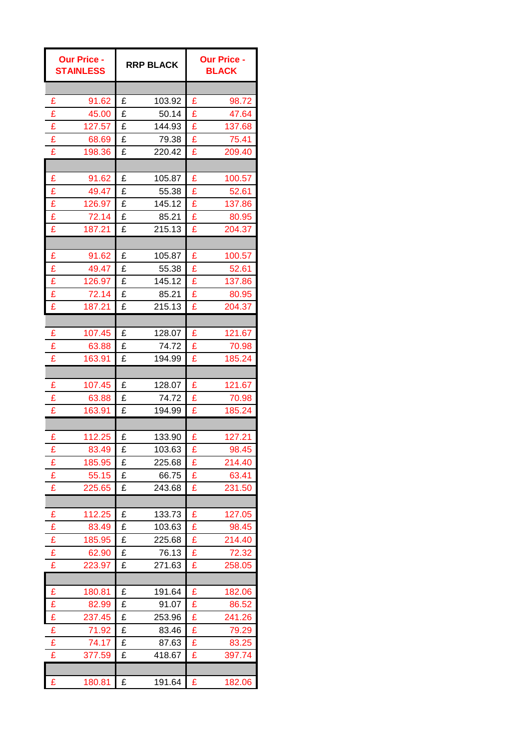| <b>Our Price -</b><br><b>STAINLESS</b> | <b>RRP BLACK</b> | <b>Our Price -</b><br><b>BLACK</b> |  |
|----------------------------------------|------------------|------------------------------------|--|
|                                        |                  |                                    |  |
| £                                      | £                | £                                  |  |
| 91.62                                  | 103.92           | 98.72                              |  |
| £                                      | £                | £                                  |  |
| 45.00                                  | 50.14            | 47.64                              |  |
| £                                      | £                | £                                  |  |
| 127.57                                 | 144.93           | 137.68                             |  |
| £                                      | £                | £                                  |  |
| 68.69                                  | 79.38            | 75.41                              |  |
| £                                      | 220.42           | £                                  |  |
| 198.36                                 | £                | 209.40                             |  |
|                                        |                  |                                    |  |
| £                                      | £                | £                                  |  |
| 91.62                                  | 105.87           | 100.57                             |  |
| £                                      | £                | £                                  |  |
| 49.47                                  | 55.38            | 52.61                              |  |
| £                                      | £                | £                                  |  |
| 126.97                                 | 145.12           | 137.86                             |  |
| £                                      | £                | £                                  |  |
| 72.14                                  | 85.21            | 80.95                              |  |
| £                                      | 215.13           | £                                  |  |
| 187.21                                 | £                | 204.37                             |  |
|                                        |                  |                                    |  |
| £                                      | £                | £                                  |  |
| 91.62                                  | 105.87           | 100.57                             |  |
| £                                      | £                | £                                  |  |
| 49.47                                  | 55.38            | 52.61                              |  |
| £                                      | £                | £                                  |  |
| 126.97                                 | 145.12           | 137.86                             |  |
| £                                      | £                | £                                  |  |
| 72.14                                  | 85.21            | 80.95                              |  |
| £                                      | 215.13           | £                                  |  |
| 187.21                                 | £                | 204.37                             |  |
|                                        |                  |                                    |  |
| £                                      | £                | £                                  |  |
| 107.45                                 | 128.07           | 121.67                             |  |
| £                                      | 74.72            | £                                  |  |
| 63.88                                  | £                | 70.98                              |  |
| £                                      | £                | £                                  |  |
| 163.91                                 | 194.99           | 185.24                             |  |
|                                        |                  |                                    |  |
| £                                      | £                | £                                  |  |
| 107.45                                 | 128.07           | 121.67                             |  |
| £                                      | £                | £                                  |  |
| 63.88                                  | 74.72            | 70.98                              |  |
| £                                      | £                | £                                  |  |
| 163.91                                 | 194.99           | 185.24                             |  |
|                                        |                  |                                    |  |
| £                                      | £                | £                                  |  |
| 112.25                                 | 133.90           | 127.21                             |  |
| 83.49                                  | 103.63           | £                                  |  |
| £                                      | £                | 98.45                              |  |
| £                                      | £                | £                                  |  |
| 185.95                                 | 225.68           | 214.40                             |  |
| £                                      | £                | £                                  |  |
| 55.15                                  | 66.75            | 63.41                              |  |
| £                                      | £                | £                                  |  |
| 225.65                                 | 243.68           | 231.50                             |  |
|                                        |                  |                                    |  |
| £                                      | £                | £                                  |  |
| 112.25                                 | 133.73           | 127.05                             |  |
| £                                      | £                | £                                  |  |
| 83.49                                  | 103.63           | 98.45                              |  |
| £                                      | £                | £                                  |  |
| 185.95                                 | 225.68           | 214.40                             |  |
| £                                      | £                | £                                  |  |
| 62.90                                  | 76.13            | 72.32                              |  |
| £                                      | 271.63           | £                                  |  |
| 223.97                                 | £                | 258.05                             |  |
|                                        |                  |                                    |  |
| £                                      | £                | £                                  |  |
| 180.81                                 | 191.64           | 182.06                             |  |
| £                                      | £                | £                                  |  |
| 82.99                                  | 91.07            | 86.52                              |  |
| £                                      | £                | £                                  |  |
| 237.45                                 | 253.96           | 241.26                             |  |
| £                                      | £                | £                                  |  |
| 71.92                                  | 83.46            | 79.29                              |  |
| £                                      | £                | £                                  |  |
| 74.17                                  | 87.63            | 83.25                              |  |
| £                                      | £                | £                                  |  |
| 377.59                                 | 418.67           | 397.74                             |  |
|                                        |                  |                                    |  |
| £                                      | £                | £                                  |  |
| 180.81                                 | 191.64           | 182.06                             |  |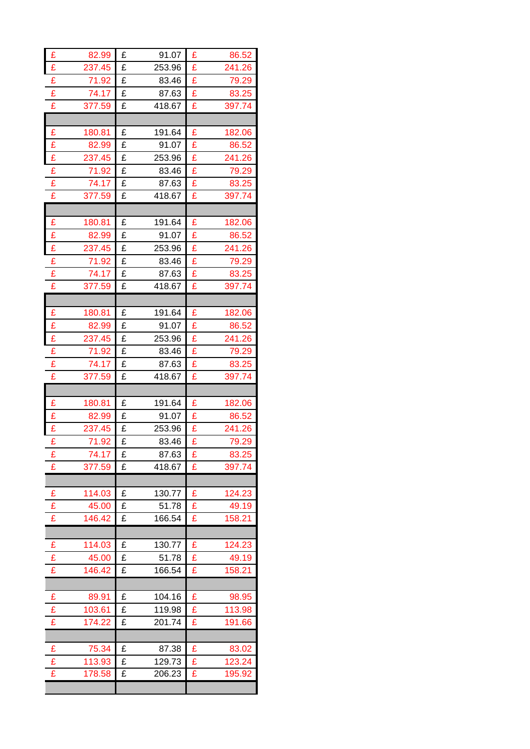| £                       | 82.99  | £ | 91.07  | £ | 86.52  |
|-------------------------|--------|---|--------|---|--------|
| £                       | 237.45 | £ | 253.96 | £ | 241.26 |
| £                       | 71.92  | £ | 83.46  | £ | 79.29  |
| $\overline{\mathbf{E}}$ | 74.17  | £ | 87.63  | £ | 83.25  |
| £                       | 377.59 | £ | 418.67 | £ | 397.74 |
|                         |        |   |        |   |        |
| £                       | 180.81 | £ | 191.64 | £ | 182.06 |
| £                       | 82.99  | £ | 91.07  | £ | 86.52  |
| £                       | 237.45 | £ | 253.96 | £ | 241.26 |
| £                       | 71.92  | £ | 83.46  | £ | 79.29  |
| £                       | 74.17  | £ | 87.63  | £ | 83.25  |
| £                       | 377.59 | £ | 418.67 | £ | 397.74 |
|                         |        |   |        |   |        |
| £                       | 180.81 | £ | 191.64 | £ | 182.06 |
| £                       | 82.99  | £ | 91.07  | £ | 86.52  |
| £                       | 237.45 | £ | 253.96 | £ | 241.26 |
| £                       | 71.92  | £ | 83.46  | £ | 79.29  |
| £                       | 74.17  | £ | 87.63  | £ | 83.25  |
| £                       | 377.59 | £ | 418.67 | £ | 397.74 |
|                         |        |   |        |   |        |
| £                       | 180.81 | £ | 191.64 | £ | 182.06 |
| £                       | 82.99  | £ | 91.07  | £ | 86.52  |
| £                       | 237.45 | £ | 253.96 | £ | 241.26 |
| £                       | 71.92  | £ | 83.46  | £ | 79.29  |
| £                       | 74.17  | £ | 87.63  | £ | 83.25  |
| £                       | 377.59 | £ | 418.67 | £ | 397.74 |
|                         |        |   |        |   |        |
|                         |        |   |        |   |        |
| £                       | 180.81 | £ | 191.64 | £ | 182.06 |
| £                       | 82.99  | £ | 91.07  | £ | 86.52  |
| £                       | 237.45 | £ | 253.96 | £ | 241.26 |
| £                       | 71.92  | £ | 83.46  | £ | 79.29  |
| £                       | 74.17  | £ | 87.63  | £ | 83.25  |
| £                       | 377.59 | £ | 418.67 | £ | 397.74 |
|                         |        |   |        |   |        |
| £                       | 114.03 | £ | 130.77 | £ | 124.23 |
| £                       | 45.00  | £ | 51.78  | £ | 49.19  |
| £                       | 146.42 | £ | 166.54 | £ | 158.21 |
|                         |        |   |        |   |        |
| £                       | 114.03 | £ | 130.77 | £ | 124.23 |
| £                       | 45.00  | £ | 51.78  | £ | 49.19  |
| £                       | 146.42 | £ | 166.54 | £ | 158.21 |
|                         |        |   |        |   |        |
| £                       | 89.91  | £ | 104.16 | £ | 98.95  |
| £                       | 103.61 | £ | 119.98 | £ | 113.98 |
| £                       | 174.22 | £ | 201.74 | £ | 191.66 |
|                         |        |   |        |   |        |
| £                       | 75.34  | £ | 87.38  | £ | 83.02  |
| £                       | 113.93 | £ | 129.73 | £ | 123.24 |
| £                       | 178.58 | £ | 206.23 | £ | 195.92 |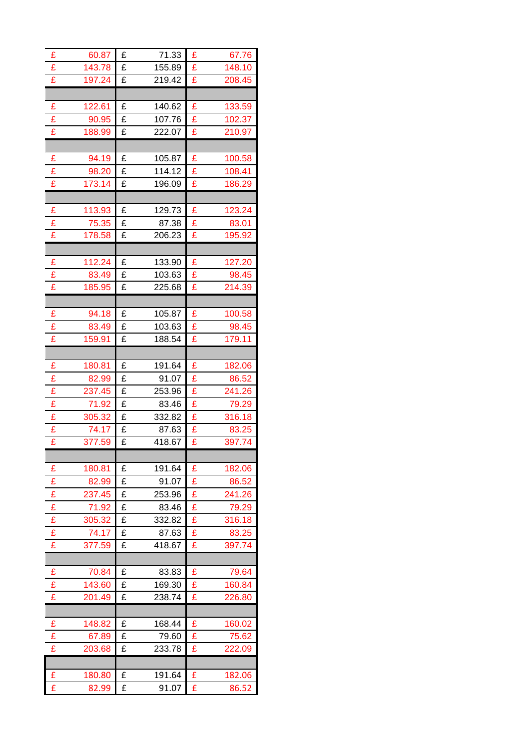| £ | 60.87  | £ | 71.33  | £ | 67.76  |
|---|--------|---|--------|---|--------|
| £ | 143.78 | £ | 155.89 | £ | 148.10 |
| £ | 197.24 | £ | 219.42 | £ | 208.45 |
|   |        |   |        |   |        |
| £ | 122.61 | £ | 140.62 | £ | 133.59 |
| £ | 90.95  | £ | 107.76 | £ | 102.37 |
| £ | 188.99 | £ | 222.07 | £ | 210.97 |
|   |        |   |        |   |        |
| £ | 94.19  | £ | 105.87 | £ | 100.58 |
| £ | 98.20  | £ | 114.12 | £ | 108.41 |
| £ | 173.14 | £ | 196.09 | £ | 186.29 |
|   |        |   |        |   |        |
| £ | 113.93 | £ | 129.73 | £ | 123.24 |
| £ | 75.35  | £ | 87.38  | £ | 83.01  |
| £ | 178.58 | £ | 206.23 | £ | 195.92 |
|   |        |   |        |   |        |
| £ | 112.24 | £ | 133.90 | £ | 127.20 |
| £ | 83.49  | £ | 103.63 | £ | 98.45  |
| £ | 185.95 | £ | 225.68 | £ | 214.39 |
|   |        |   |        |   |        |
| £ | 94.18  | £ | 105.87 | £ | 100.58 |
| £ | 83.49  | £ | 103.63 | £ | 98.45  |
| £ | 159.91 | £ | 188.54 | £ | 179.11 |
|   |        |   |        |   |        |
| £ | 180.81 | £ | 191.64 | £ | 182.06 |
| £ | 82.99  | £ | 91.07  | £ | 86.52  |
| £ | 237.45 | £ | 253.96 | £ | 241.26 |
| £ | 71.92  | £ | 83.46  | £ | 79.29  |
| £ | 305.32 | £ | 332.82 | £ | 316.18 |
| £ | 74.17  | £ | 87.63  | £ | 83.25  |
| £ | 377.59 | £ | 418.67 | £ | 397.74 |
|   |        |   |        |   |        |
| £ | 180.81 | £ | 191.64 | £ | 182.06 |
| £ | 82.99  | £ | 91.07  | £ | 86.52  |
| £ | 237.45 | £ | 253.96 | £ | 241.26 |
| £ | 71.92  | £ | 83.46  | £ | 79.29  |
| £ | 305.32 | £ | 332.82 | £ | 316.18 |
| £ | 74.17  | £ | 87.63  | £ | 83.25  |
| £ | 377.59 | £ | 418.67 | £ | 397.74 |
|   |        |   |        |   |        |
| £ | 70.84  | £ | 83.83  | £ | 79.64  |
| £ | 143.60 | £ | 169.30 | £ | 160.84 |
| £ | 201.49 | £ | 238.74 | £ | 226.80 |
|   |        |   |        |   |        |
| £ | 148.82 | £ | 168.44 | £ | 160.02 |
| £ | 67.89  | £ | 79.60  | £ | 75.62  |
| £ | 203.68 | £ | 233.78 | £ | 222.09 |
|   |        |   |        |   |        |
| £ | 180.80 | £ | 191.64 | £ | 182.06 |
| £ | 82.99  | £ | 91.07  | £ | 86.52  |